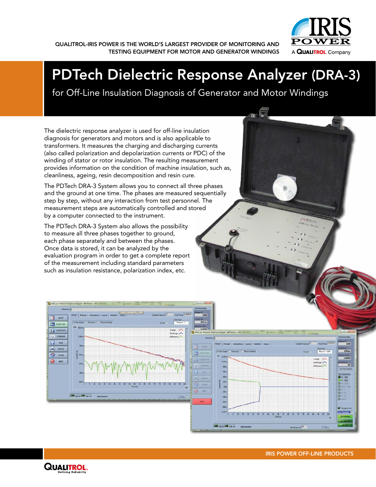

QUALITROL-IRIS POWER IS THE WORLD'S LARGEST PROVIDER OF MONITORING AND TESTING EQUIPMENT FOR MOTOR AND GENERATOR WINDINGS

# PDTech Dielectric Response Analyzer (DRA-3)

for Off-Line Insulation Diagnosis of Generator and Motor Windings

The dielectric response analyzer is used for off-line insulation diagnosis for generators and motors and is also applicable to transformers. It measures the charging and discharging currents (also called polarization and depolarization currents or PDC) of the winding of stator or rotor insulation. The resulting measurement provides information on the condition of machine insulation, such as, cleanliness, ageing, resin decomposition and resin cure.

The PDTech DRA-3 System allows you to connect all three phases and the ground at one time. The phases are measured sequentially step by step, without any interaction from test personnel. The measurement steps are automatically controlled and stored by a computer connected to the instrument.

The PDTech DRA-3 System also allows the possibility to measure all three phases together to ground, each phase separately and between the phases. Once data is stored, it can be analyzed by the evaluation program in order to get a complete report of the measurement including standard parameters such as insulation resistance, polarization index, etc.





口